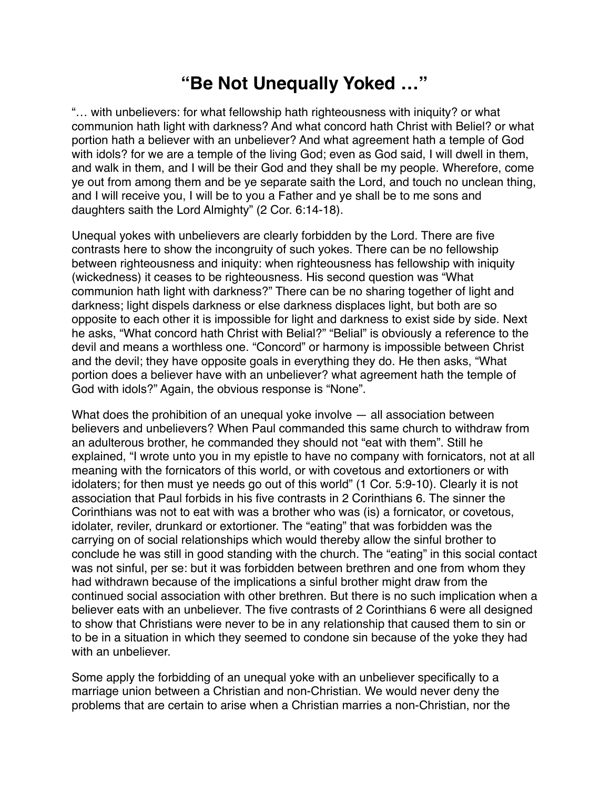## **"Be Not Unequally Yoked …"**

"… with unbelievers: for what fellowship hath righteousness with iniquity? or what communion hath light with darkness? And what concord hath Christ with Beliel? or what portion hath a believer with an unbeliever? And what agreement hath a temple of God with idols? for we are a temple of the living God; even as God said, I will dwell in them, and walk in them, and I will be their God and they shall be my people. Wherefore, come ye out from among them and be ye separate saith the Lord, and touch no unclean thing, and I will receive you, I will be to you a Father and ye shall be to me sons and daughters saith the Lord Almighty" (2 Cor. 6:14-18).

Unequal yokes with unbelievers are clearly forbidden by the Lord. There are five contrasts here to show the incongruity of such yokes. There can be no fellowship between righteousness and iniquity: when righteousness has fellowship with iniquity (wickedness) it ceases to be righteousness. His second question was "What communion hath light with darkness?" There can be no sharing together of light and darkness; light dispels darkness or else darkness displaces light, but both are so opposite to each other it is impossible for light and darkness to exist side by side. Next he asks, "What concord hath Christ with Belial?" "Belial" is obviously a reference to the devil and means a worthless one. "Concord" or harmony is impossible between Christ and the devil; they have opposite goals in everything they do. He then asks, "What portion does a believer have with an unbeliever? what agreement hath the temple of God with idols?" Again, the obvious response is "None".

What does the prohibition of an unequal yoke involve — all association between believers and unbelievers? When Paul commanded this same church to withdraw from an adulterous brother, he commanded they should not "eat with them". Still he explained, "I wrote unto you in my epistle to have no company with fornicators, not at all meaning with the fornicators of this world, or with covetous and extortioners or with idolaters; for then must ye needs go out of this world" (1 Cor. 5:9-10). Clearly it is not association that Paul forbids in his five contrasts in 2 Corinthians 6. The sinner the Corinthians was not to eat with was a brother who was (is) a fornicator, or covetous, idolater, reviler, drunkard or extortioner. The "eating" that was forbidden was the carrying on of social relationships which would thereby allow the sinful brother to conclude he was still in good standing with the church. The "eating" in this social contact was not sinful, per se: but it was forbidden between brethren and one from whom they had withdrawn because of the implications a sinful brother might draw from the continued social association with other brethren. But there is no such implication when a believer eats with an unbeliever. The five contrasts of 2 Corinthians 6 were all designed to show that Christians were never to be in any relationship that caused them to sin or to be in a situation in which they seemed to condone sin because of the yoke they had with an unbeliever.

Some apply the forbidding of an unequal yoke with an unbeliever specifically to a marriage union between a Christian and non-Christian. We would never deny the problems that are certain to arise when a Christian marries a non-Christian, nor the